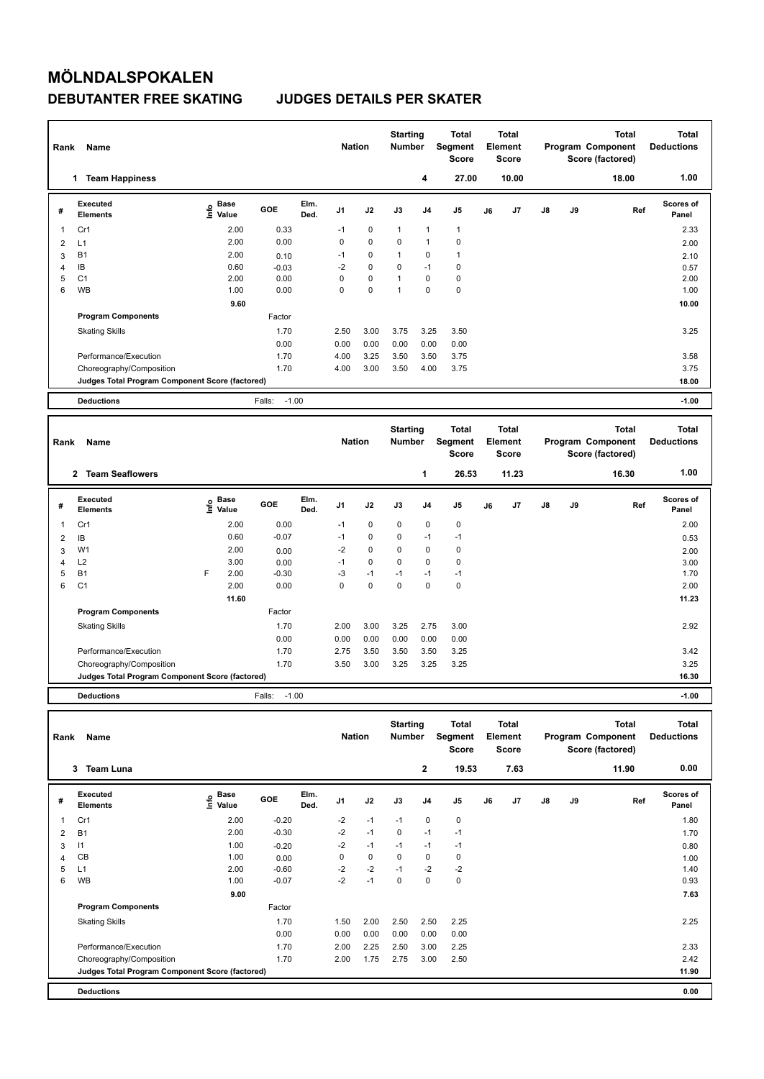## **MÖLNDALSPOKALEN DEBUTANTER FREE SKATING JUDGES DETAILS PER SKATER**

| Rank | Name                                            |                            |                   |              | <b>Nation</b>  |             | <b>Starting</b><br><b>Number</b> |                | <b>Total</b><br>Segment<br><b>Score</b> |    | <b>Total</b><br>Element<br><b>Score</b> |               |    | <b>Total</b><br>Program Component<br>Score (factored) | <b>Total</b><br><b>Deductions</b> |
|------|-------------------------------------------------|----------------------------|-------------------|--------------|----------------|-------------|----------------------------------|----------------|-----------------------------------------|----|-----------------------------------------|---------------|----|-------------------------------------------------------|-----------------------------------|
|      | 1 Team Happiness                                |                            |                   |              |                |             |                                  | 4              | 27.00                                   |    | 10.00                                   |               |    | 18.00                                                 | 1.00                              |
| #    | <b>Executed</b><br><b>Elements</b>              | <b>Base</b><br>۴ê<br>Value | GOE               | Elm.<br>Ded. | J <sub>1</sub> | J2          | J3                               | J <sub>4</sub> | J <sub>5</sub>                          | J6 | J <sub>7</sub>                          | J8            | J9 | Ref                                                   | Scores of<br>Panel                |
| 1    | Cr1                                             | 2.00                       | 0.33              |              | $-1$           | $\pmb{0}$   | $\mathbf{1}$                     | $\mathbf{1}$   | $\mathbf{1}$                            |    |                                         |               |    |                                                       | 2.33                              |
| 2    | L1                                              | 2.00                       | 0.00              |              | 0              | $\mathbf 0$ | 0                                | $\overline{1}$ | $\pmb{0}$                               |    |                                         |               |    |                                                       | 2.00                              |
| 3    | <b>B1</b>                                       | 2.00                       | 0.10              |              | $-1$           | $\mathbf 0$ | $\mathbf{1}$                     | $\mathbf 0$    | $\mathbf{1}$                            |    |                                         |               |    |                                                       | 2.10                              |
| 4    | IB                                              | 0.60                       | $-0.03$           |              | $-2$           | $\mathbf 0$ | $\Omega$                         | $-1$           | $\pmb{0}$                               |    |                                         |               |    |                                                       | 0.57                              |
| 5    | C <sub>1</sub>                                  | 2.00                       | 0.00              |              | 0              | 0           | $\overline{1}$                   | $\mathbf 0$    | $\pmb{0}$                               |    |                                         |               |    |                                                       | 2.00                              |
| 6    | <b>WB</b>                                       | 1.00                       | 0.00              |              | 0              | $\mathbf 0$ | $\overline{1}$                   | $\Omega$       | $\mathbf 0$                             |    |                                         |               |    |                                                       | 1.00                              |
|      |                                                 | 9.60                       |                   |              |                |             |                                  |                |                                         |    |                                         |               |    |                                                       | 10.00                             |
|      | <b>Program Components</b>                       |                            | Factor            |              |                |             |                                  |                |                                         |    |                                         |               |    |                                                       |                                   |
|      | <b>Skating Skills</b>                           |                            | 1.70              |              | 2.50           | 3.00        | 3.75                             | 3.25           | 3.50                                    |    |                                         |               |    |                                                       | 3.25                              |
|      |                                                 |                            | 0.00              |              | 0.00           | 0.00        | 0.00                             | 0.00           | 0.00                                    |    |                                         |               |    |                                                       |                                   |
|      | Performance/Execution                           |                            | 1.70              |              | 4.00           | 3.25        | 3.50                             | 3.50           | 3.75                                    |    |                                         |               |    |                                                       | 3.58                              |
|      | Choreography/Composition                        |                            | 1.70              |              | 4.00           | 3.00        | 3.50                             | 4.00           | 3.75                                    |    |                                         |               |    |                                                       | 3.75                              |
|      | Judges Total Program Component Score (factored) |                            |                   |              |                |             |                                  |                |                                         |    |                                         |               |    |                                                       | 18.00                             |
|      | <b>Deductions</b>                               |                            | $-1.00$<br>Falls: |              |                |             |                                  |                |                                         |    |                                         |               |    |                                                       | $-1.00$                           |
|      |                                                 |                            |                   |              |                |             |                                  |                |                                         |    |                                         |               |    |                                                       |                                   |
| Rank | Name                                            |                            |                   |              | <b>Nation</b>  |             | <b>Starting</b><br><b>Number</b> |                | <b>Total</b><br>Segment<br><b>Score</b> |    | <b>Total</b><br>Element<br><b>Score</b> |               |    | <b>Total</b><br>Program Component<br>Score (factored) | <b>Total</b><br><b>Deductions</b> |
|      | 2 Team Seaflowers                               |                            |                   |              |                |             |                                  | 1              | 26.53                                   |    | 11.23                                   |               |    | 16.30                                                 | 1.00                              |
| #    | Executed<br><b>Elements</b>                     | <b>Base</b><br>۴°<br>Value | GOE               | Elm.<br>Ded. | J <sub>1</sub> | J2          | J3                               | J <sub>4</sub> | J <sub>5</sub>                          | J6 | J7                                      | $\mathsf{J}8$ | J9 | Ref                                                   | Scores of<br>Panel                |
| 1    | Cr1                                             | 2.00                       | 0.00              |              | $-1$           | 0           | 0                                | $\mathbf 0$    | $\pmb{0}$                               |    |                                         |               |    |                                                       | 2.00                              |
| 2    | IB                                              | 0.60                       | $-0.07$           |              | $-1$           | 0           | 0                                | $-1$           | $-1$                                    |    |                                         |               |    |                                                       | 0.53                              |
| 3    | W <sub>1</sub>                                  | 2.00                       | 0.00              |              | $-2$           | 0           | 0                                | 0              | $\mathbf 0$                             |    |                                         |               |    |                                                       | 2.00                              |

| 3 | W <sub>1</sub>                                  |   | 2.00  | 0.00    | $-2$ | 0    | 0    | $\Omega$ | 0           | 2.00  |
|---|-------------------------------------------------|---|-------|---------|------|------|------|----------|-------------|-------|
| 4 | L <sub>2</sub>                                  |   | 3.00  | 0.00    | -1   | 0    | 0    | 0        | 0           | 3.00  |
| 5 | <b>B1</b>                                       | F | 2.00  | $-0.30$ | $-3$ | $-1$ | $-1$ | -1       | -1          | 1.70  |
| 6 | C <sub>1</sub>                                  |   | 2.00  | 0.00    | 0    | 0    | 0    | 0        | $\mathbf 0$ | 2.00  |
|   |                                                 |   | 11.60 |         |      |      |      |          |             | 11.23 |
|   | <b>Program Components</b>                       |   |       | Factor  |      |      |      |          |             |       |
|   | <b>Skating Skills</b>                           |   |       | 1.70    | 2.00 | 3.00 | 3.25 | 2.75     | 3.00        | 2.92  |
|   |                                                 |   |       | 0.00    | 0.00 | 0.00 | 0.00 | 0.00     | 0.00        |       |
|   | Performance/Execution                           |   |       | 1.70    | 2.75 | 3.50 | 3.50 | 3.50     | 3.25        | 3.42  |
|   | Choreography/Composition                        |   |       | 1.70    | 3.50 | 3.00 | 3.25 | 3.25     | 3.25        | 3.25  |
|   | Judges Total Program Component Score (factored) |   |       |         |      |      |      |          |             | 16.30 |
|   |                                                 |   |       |         |      |      |      |          |             |       |

**Deductions** Falls: -1.00 **-1.00**

| Name<br>Rank |                                                 |                                  |         |              |                |           | <b>Starting</b><br><b>Number</b> |                | <b>Total</b><br>Segment<br><b>Score</b> | <b>Total</b><br>Element<br><b>Score</b> |                |               |    | <b>Total</b><br>Program Component<br>Score (factored) | <b>Total</b><br><b>Deductions</b> |
|--------------|-------------------------------------------------|----------------------------------|---------|--------------|----------------|-----------|----------------------------------|----------------|-----------------------------------------|-----------------------------------------|----------------|---------------|----|-------------------------------------------------------|-----------------------------------|
|              | <b>Team Luna</b><br>3                           |                                  |         |              |                |           |                                  | $\overline{2}$ | 19.53                                   |                                         | 7.63           |               |    | 11.90                                                 | 0.00                              |
| #            | Executed<br><b>Elements</b>                     | <b>Base</b><br>e Base<br>⊆ Value | GOE     | Elm.<br>Ded. | J <sub>1</sub> | J2        | J3                               | J4             | J <sub>5</sub>                          | J6                                      | J <sub>7</sub> | $\mathsf{J}8$ | J9 | Ref                                                   | <b>Scores of</b><br>Panel         |
| 1            | Cr1                                             | 2.00                             | $-0.20$ |              | $-2$           | $-1$      | $-1$                             | 0              | 0                                       |                                         |                |               |    |                                                       | 1.80                              |
| 2            | <b>B1</b>                                       | 2.00                             | $-0.30$ |              | $-2$           | $-1$      | $\mathbf 0$                      | $-1$           | $-1$                                    |                                         |                |               |    |                                                       | 1.70                              |
| 3            | $\vert$ 1                                       | 1.00                             | $-0.20$ |              | $-2$           | $-1$      | $-1$                             | $-1$           | $-1$                                    |                                         |                |               |    |                                                       | 0.80                              |
| 4            | CB                                              | 1.00                             | 0.00    |              | 0              | $\pmb{0}$ | 0                                | 0              | 0                                       |                                         |                |               |    |                                                       | 1.00                              |
| 5            | L1                                              | 2.00                             | $-0.60$ |              | $-2$           | $-2$      | $-1$                             | $-2$           | $-2$                                    |                                         |                |               |    |                                                       | 1.40                              |
| 6            | <b>WB</b>                                       | 1.00                             | $-0.07$ |              | $-2$           | $-1$      | 0                                | 0              | 0                                       |                                         |                |               |    |                                                       | 0.93                              |
|              |                                                 | 9.00                             |         |              |                |           |                                  |                |                                         |                                         |                |               |    |                                                       | 7.63                              |
|              | <b>Program Components</b>                       |                                  | Factor  |              |                |           |                                  |                |                                         |                                         |                |               |    |                                                       |                                   |
|              | <b>Skating Skills</b>                           |                                  | 1.70    |              | 1.50           | 2.00      | 2.50                             | 2.50           | 2.25                                    |                                         |                |               |    |                                                       | 2.25                              |
|              |                                                 |                                  | 0.00    |              | 0.00           | 0.00      | 0.00                             | 0.00           | 0.00                                    |                                         |                |               |    |                                                       |                                   |
|              | Performance/Execution                           |                                  | 1.70    |              | 2.00           | 2.25      | 2.50                             | 3.00           | 2.25                                    |                                         |                |               |    |                                                       | 2.33                              |
|              | Choreography/Composition                        |                                  | 1.70    |              | 2.00           | 1.75      | 2.75                             | 3.00           | 2.50                                    |                                         |                |               |    |                                                       | 2.42                              |
|              | Judges Total Program Component Score (factored) |                                  |         |              |                |           |                                  |                |                                         |                                         |                |               |    |                                                       | 11.90                             |
|              | <b>Deductions</b>                               |                                  |         |              |                |           |                                  |                |                                         |                                         |                |               |    |                                                       | 0.00                              |